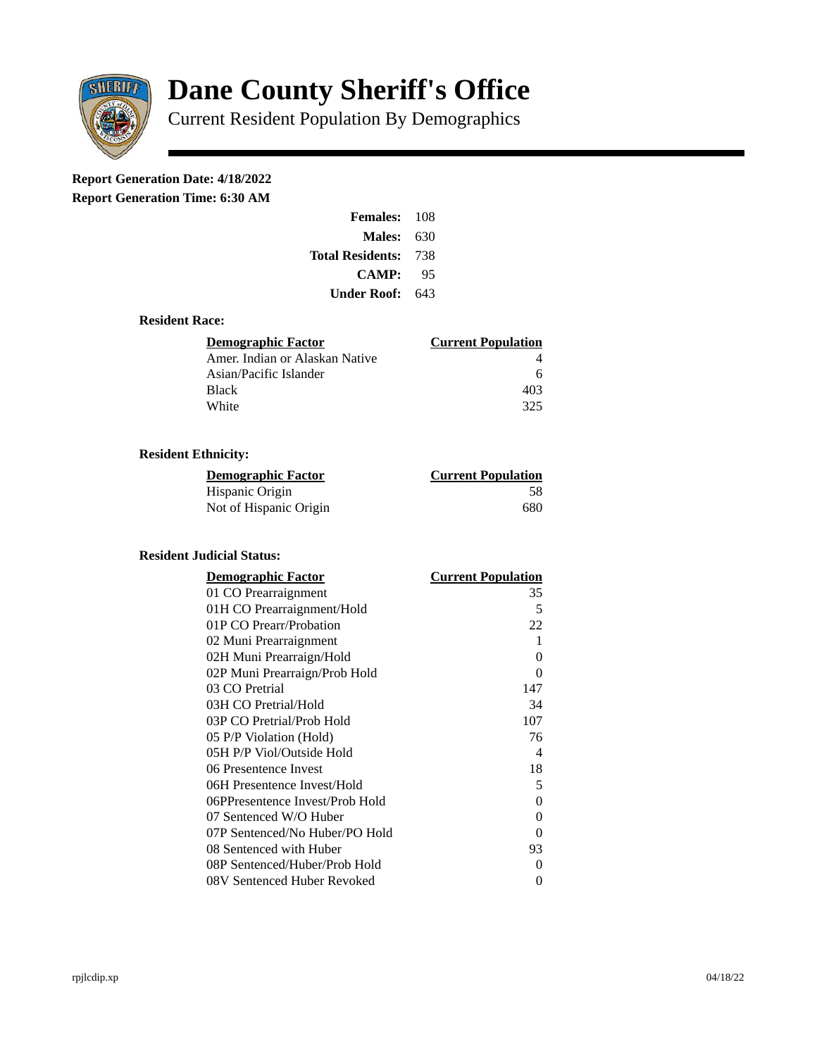

# **Dane County Sheriff's Office**

Current Resident Population By Demographics

## **Report Generation Date: 4/18/2022**

**Report Generation Time: 6:30 AM** 

| Females:         | 108   |
|------------------|-------|
| Males:           | 630   |
| Total Residents: | - 738 |
| <b>CAMP:</b>     | 95    |
| Under Roof: L    | 643   |

#### **Resident Race:**

| Demographic Factor             | <b>Current Population</b> |
|--------------------------------|---------------------------|
| Amer. Indian or Alaskan Native |                           |
| Asian/Pacific Islander         | 6                         |
| Black                          | 403                       |
| White                          | 325                       |

### **Resident Ethnicity:**

| <u> Demographic Factor</u> | <b>Current Population</b> |
|----------------------------|---------------------------|
| Hispanic Origin            | 58                        |
| Not of Hispanic Origin     | 680                       |

#### **Resident Judicial Status:**

| <b>Demographic Factor</b>       | <b>Current Population</b>  |
|---------------------------------|----------------------------|
| 01 CO Prearraignment            | 35                         |
| 01H CO Prearraignment/Hold      | 5                          |
| 01P CO Prearr/Probation         | 22                         |
| 02 Muni Prearraignment          | 1                          |
| 02H Muni Prearraign/Hold        | 0                          |
| 02P Muni Prearraign/Prob Hold   | 0                          |
| 03 CO Pretrial                  | 147                        |
| 03H CO Pretrial/Hold            | 34                         |
| 03P CO Pretrial/Prob Hold       | 107                        |
| 05 P/P Violation (Hold)         | 76                         |
| 05H P/P Viol/Outside Hold       | $\boldsymbol{\mathcal{A}}$ |
| 06 Presentence Invest           | 18                         |
| 06H Presentence Invest/Hold     | 5                          |
| 06PPresentence Invest/Prob Hold | 0                          |
| 07 Sentenced W/O Huber          | 0                          |
| 07P Sentenced/No Huber/PO Hold  | 0                          |
| 08 Sentenced with Huber         | 93                         |
| 08P Sentenced/Huber/Prob Hold   | 0                          |
| 08V Sentenced Huber Revoked     | 0                          |